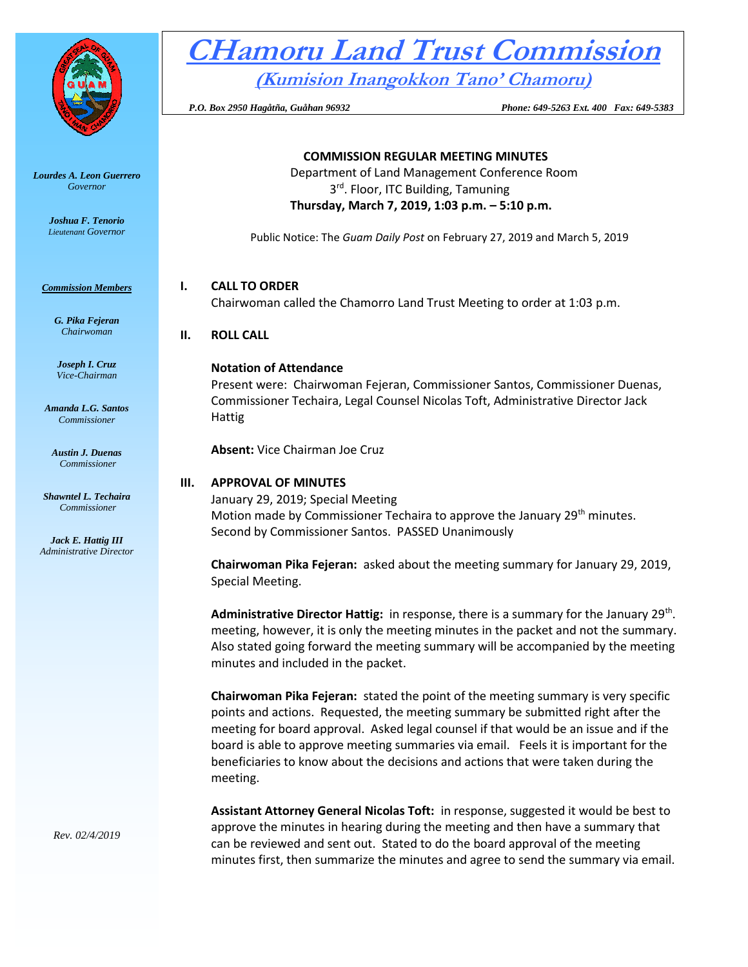

*Lourdes A. Leon Guerrero Governor* 

> *Joshua F. Tenorio Lieutenant Governor*

*Commission Members*

*G. Pika Fejeran Chairwoman*

*Joseph I. Cruz Vice-Chairman*

*Amanda L.G. Santos Commissioner*

*Austin J. Duenas Commissioner*

*Shawntel L. Techaira Commissioner*

*Jack E. Hattig III Administrative Director*

*Rev. 02/4/2019*

# **CHamoru Land Trust Commission**

**COMMISSION REGULAR MEETING MINUTES** Department of Land Management Conference Room 3<sup>rd</sup>. Floor, ITC Building, Tamuning

**(Kumision Inangokkon Tano' Chamoru)**

 *P.O. Box 2950 Hagåtña, Guåhan 96932 Phone: 649-5263 Ext. 400 Fax: 649-5383*

**Thursday, March 7, 2019, 1:03 p.m. – 5:10 p.m.** Public Notice: The *Guam Daily Post* on February 27, 2019 and March 5, 2019 **I. CALL TO ORDER** Chairwoman called the Chamorro Land Trust Meeting to order at 1:03 p.m. **II. ROLL CALL Notation of Attendance** Present were: Chairwoman Fejeran, Commissioner Santos, Commissioner Duenas, Commissioner Techaira, Legal Counsel Nicolas Toft, Administrative Director Jack Hattig **Absent:** Vice Chairman Joe Cruz **III. APPROVAL OF MINUTES** January 29, 2019; Special Meeting Motion made by Commissioner Techaira to approve the January 29<sup>th</sup> minutes. Second by Commissioner Santos. PASSED Unanimously

**Chairwoman Pika Fejeran:** asked about the meeting summary for January 29, 2019, Special Meeting.

Administrative Director Hattig: in response, there is a summary for the January 29<sup>th</sup>. meeting, however, it is only the meeting minutes in the packet and not the summary. Also stated going forward the meeting summary will be accompanied by the meeting minutes and included in the packet.

**Chairwoman Pika Fejeran:** stated the point of the meeting summary is very specific points and actions. Requested, the meeting summary be submitted right after the meeting for board approval. Asked legal counsel if that would be an issue and if the board is able to approve meeting summaries via email. Feels it is important for the beneficiaries to know about the decisions and actions that were taken during the meeting.

**Assistant Attorney General Nicolas Toft:** in response, suggested it would be best to approve the minutes in hearing during the meeting and then have a summary that can be reviewed and sent out. Stated to do the board approval of the meeting minutes first, then summarize the minutes and agree to send the summary via email.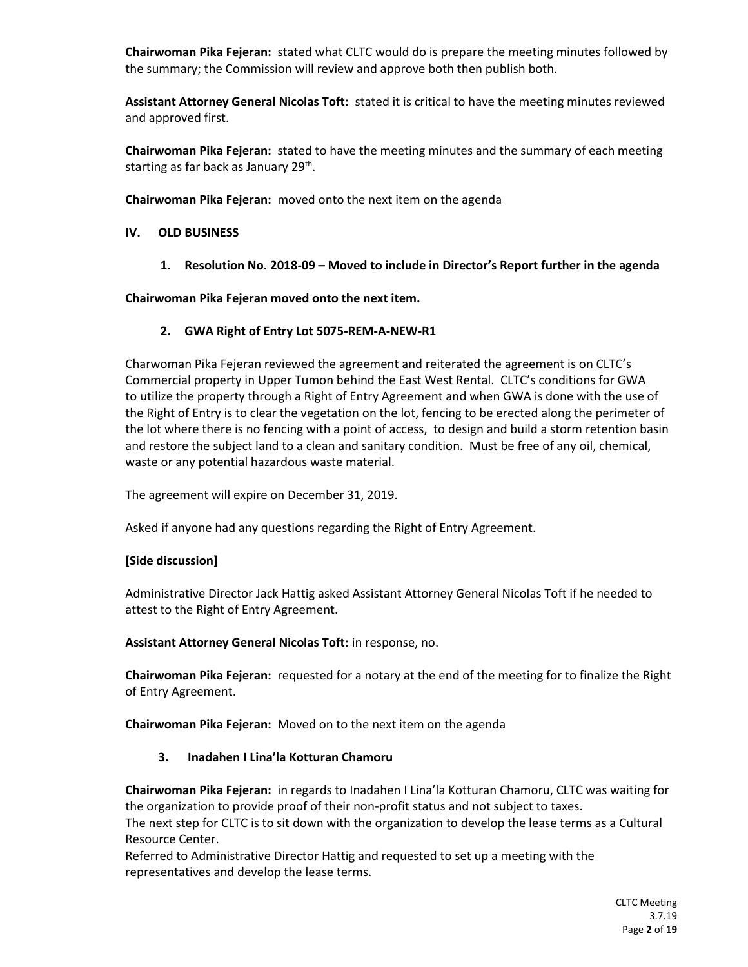**Chairwoman Pika Fejeran:** stated what CLTC would do is prepare the meeting minutes followed by the summary; the Commission will review and approve both then publish both.

**Assistant Attorney General Nicolas Toft:** stated it is critical to have the meeting minutes reviewed and approved first.

**Chairwoman Pika Fejeran:** stated to have the meeting minutes and the summary of each meeting starting as far back as January 29<sup>th</sup>.

**Chairwoman Pika Fejeran:** moved onto the next item on the agenda

#### **IV. OLD BUSINESS**

**1. Resolution No. 2018-09 – Moved to include in Director's Report further in the agenda**

**Chairwoman Pika Fejeran moved onto the next item.**

#### **2. GWA Right of Entry Lot 5075-REM-A-NEW-R1**

Charwoman Pika Fejeran reviewed the agreement and reiterated the agreement is on CLTC's Commercial property in Upper Tumon behind the East West Rental. CLTC's conditions for GWA to utilize the property through a Right of Entry Agreement and when GWA is done with the use of the Right of Entry is to clear the vegetation on the lot, fencing to be erected along the perimeter of the lot where there is no fencing with a point of access, to design and build a storm retention basin and restore the subject land to a clean and sanitary condition. Must be free of any oil, chemical, waste or any potential hazardous waste material.

The agreement will expire on December 31, 2019.

Asked if anyone had any questions regarding the Right of Entry Agreement.

#### **[Side discussion]**

Administrative Director Jack Hattig asked Assistant Attorney General Nicolas Toft if he needed to attest to the Right of Entry Agreement.

**Assistant Attorney General Nicolas Toft:** in response, no.

**Chairwoman Pika Fejeran:** requested for a notary at the end of the meeting for to finalize the Right of Entry Agreement.

**Chairwoman Pika Fejeran:** Moved on to the next item on the agenda

#### **3. Inadahen I Lina'la Kotturan Chamoru**

**Chairwoman Pika Fejeran:** in regards to Inadahen I Lina'la Kotturan Chamoru, CLTC was waiting for the organization to provide proof of their non-profit status and not subject to taxes.

The next step for CLTC is to sit down with the organization to develop the lease terms as a Cultural Resource Center.

Referred to Administrative Director Hattig and requested to set up a meeting with the representatives and develop the lease terms.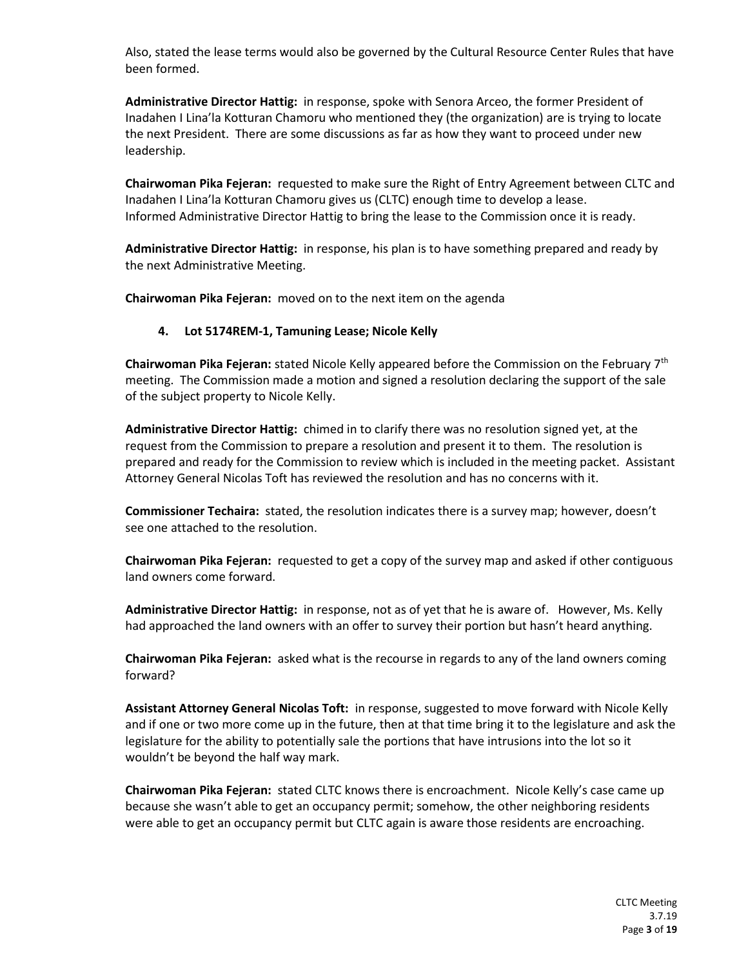Also, stated the lease terms would also be governed by the Cultural Resource Center Rules that have been formed.

**Administrative Director Hattig:** in response, spoke with Senora Arceo, the former President of Inadahen I Lina'la Kotturan Chamoru who mentioned they (the organization) are is trying to locate the next President. There are some discussions as far as how they want to proceed under new leadership.

**Chairwoman Pika Fejeran:** requested to make sure the Right of Entry Agreement between CLTC and Inadahen I Lina'la Kotturan Chamoru gives us (CLTC) enough time to develop a lease. Informed Administrative Director Hattig to bring the lease to the Commission once it is ready.

**Administrative Director Hattig:** in response, his plan is to have something prepared and ready by the next Administrative Meeting.

**Chairwoman Pika Fejeran:** moved on to the next item on the agenda

#### **4. Lot 5174REM-1, Tamuning Lease; Nicole Kelly**

**Chairwoman Pika Fejeran:** stated Nicole Kelly appeared before the Commission on the February 7th meeting. The Commission made a motion and signed a resolution declaring the support of the sale of the subject property to Nicole Kelly.

**Administrative Director Hattig:** chimed in to clarify there was no resolution signed yet, at the request from the Commission to prepare a resolution and present it to them. The resolution is prepared and ready for the Commission to review which is included in the meeting packet. Assistant Attorney General Nicolas Toft has reviewed the resolution and has no concerns with it.

**Commissioner Techaira:** stated, the resolution indicates there is a survey map; however, doesn't see one attached to the resolution.

**Chairwoman Pika Fejeran:** requested to get a copy of the survey map and asked if other contiguous land owners come forward.

**Administrative Director Hattig:** in response, not as of yet that he is aware of. However, Ms. Kelly had approached the land owners with an offer to survey their portion but hasn't heard anything.

**Chairwoman Pika Fejeran:** asked what is the recourse in regards to any of the land owners coming forward?

**Assistant Attorney General Nicolas Toft:** in response, suggested to move forward with Nicole Kelly and if one or two more come up in the future, then at that time bring it to the legislature and ask the legislature for the ability to potentially sale the portions that have intrusions into the lot so it wouldn't be beyond the half way mark.

**Chairwoman Pika Fejeran:** stated CLTC knows there is encroachment. Nicole Kelly's case came up because she wasn't able to get an occupancy permit; somehow, the other neighboring residents were able to get an occupancy permit but CLTC again is aware those residents are encroaching.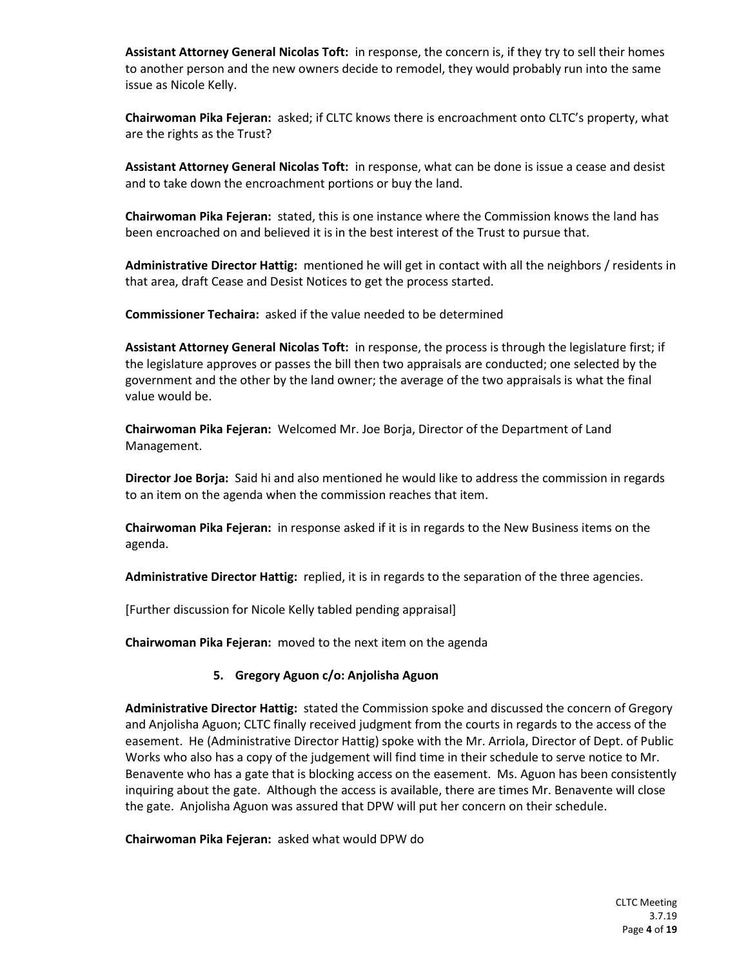**Assistant Attorney General Nicolas Toft:** in response, the concern is, if they try to sell their homes to another person and the new owners decide to remodel, they would probably run into the same issue as Nicole Kelly.

**Chairwoman Pika Fejeran:** asked; if CLTC knows there is encroachment onto CLTC's property, what are the rights as the Trust?

**Assistant Attorney General Nicolas Toft:** in response, what can be done is issue a cease and desist and to take down the encroachment portions or buy the land.

**Chairwoman Pika Fejeran:** stated, this is one instance where the Commission knows the land has been encroached on and believed it is in the best interest of the Trust to pursue that.

**Administrative Director Hattig:** mentioned he will get in contact with all the neighbors / residents in that area, draft Cease and Desist Notices to get the process started.

**Commissioner Techaira:** asked if the value needed to be determined

**Assistant Attorney General Nicolas Toft:** in response, the process is through the legislature first; if the legislature approves or passes the bill then two appraisals are conducted; one selected by the government and the other by the land owner; the average of the two appraisals is what the final value would be.

**Chairwoman Pika Fejeran:** Welcomed Mr. Joe Borja, Director of the Department of Land Management.

**Director Joe Borja:** Said hi and also mentioned he would like to address the commission in regards to an item on the agenda when the commission reaches that item.

**Chairwoman Pika Fejeran:** in response asked if it is in regards to the New Business items on the agenda.

**Administrative Director Hattig:** replied, it is in regards to the separation of the three agencies.

[Further discussion for Nicole Kelly tabled pending appraisal]

**Chairwoman Pika Fejeran:** moved to the next item on the agenda

# **5. Gregory Aguon c/o: Anjolisha Aguon**

**Administrative Director Hattig:** stated the Commission spoke and discussed the concern of Gregory and Anjolisha Aguon; CLTC finally received judgment from the courts in regards to the access of the easement. He (Administrative Director Hattig) spoke with the Mr. Arriola, Director of Dept. of Public Works who also has a copy of the judgement will find time in their schedule to serve notice to Mr. Benavente who has a gate that is blocking access on the easement. Ms. Aguon has been consistently inquiring about the gate. Although the access is available, there are times Mr. Benavente will close the gate. Anjolisha Aguon was assured that DPW will put her concern on their schedule.

**Chairwoman Pika Fejeran:** asked what would DPW do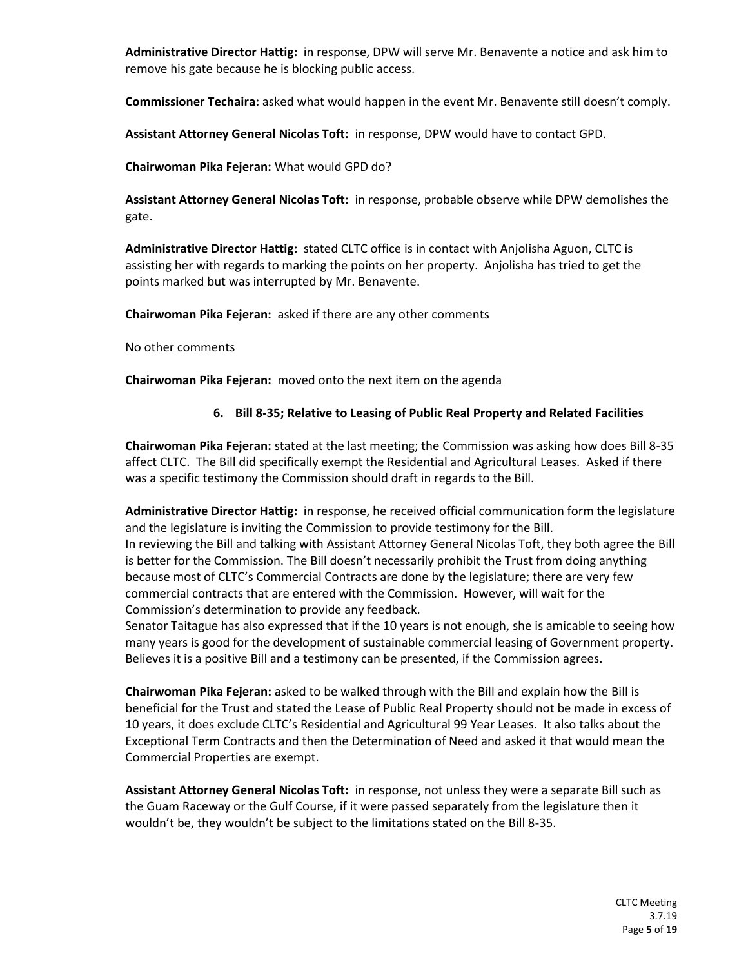**Administrative Director Hattig:** in response, DPW will serve Mr. Benavente a notice and ask him to remove his gate because he is blocking public access.

**Commissioner Techaira:** asked what would happen in the event Mr. Benavente still doesn't comply.

**Assistant Attorney General Nicolas Toft:** in response, DPW would have to contact GPD.

**Chairwoman Pika Fejeran:** What would GPD do?

**Assistant Attorney General Nicolas Toft:** in response, probable observe while DPW demolishes the gate.

**Administrative Director Hattig:** stated CLTC office is in contact with Anjolisha Aguon, CLTC is assisting her with regards to marking the points on her property. Anjolisha has tried to get the points marked but was interrupted by Mr. Benavente.

**Chairwoman Pika Fejeran:** asked if there are any other comments

No other comments

**Chairwoman Pika Fejeran:** moved onto the next item on the agenda

# **6. Bill 8-35; Relative to Leasing of Public Real Property and Related Facilities**

**Chairwoman Pika Fejeran:** stated at the last meeting; the Commission was asking how does Bill 8-35 affect CLTC. The Bill did specifically exempt the Residential and Agricultural Leases. Asked if there was a specific testimony the Commission should draft in regards to the Bill.

**Administrative Director Hattig:** in response, he received official communication form the legislature and the legislature is inviting the Commission to provide testimony for the Bill. In reviewing the Bill and talking with Assistant Attorney General Nicolas Toft, they both agree the Bill is better for the Commission. The Bill doesn't necessarily prohibit the Trust from doing anything because most of CLTC's Commercial Contracts are done by the legislature; there are very few commercial contracts that are entered with the Commission. However, will wait for the Commission's determination to provide any feedback.

Senator Taitague has also expressed that if the 10 years is not enough, she is amicable to seeing how many years is good for the development of sustainable commercial leasing of Government property. Believes it is a positive Bill and a testimony can be presented, if the Commission agrees.

**Chairwoman Pika Fejeran:** asked to be walked through with the Bill and explain how the Bill is beneficial for the Trust and stated the Lease of Public Real Property should not be made in excess of 10 years, it does exclude CLTC's Residential and Agricultural 99 Year Leases. It also talks about the Exceptional Term Contracts and then the Determination of Need and asked it that would mean the Commercial Properties are exempt.

**Assistant Attorney General Nicolas Toft:** in response, not unless they were a separate Bill such as the Guam Raceway or the Gulf Course, if it were passed separately from the legislature then it wouldn't be, they wouldn't be subject to the limitations stated on the Bill 8-35.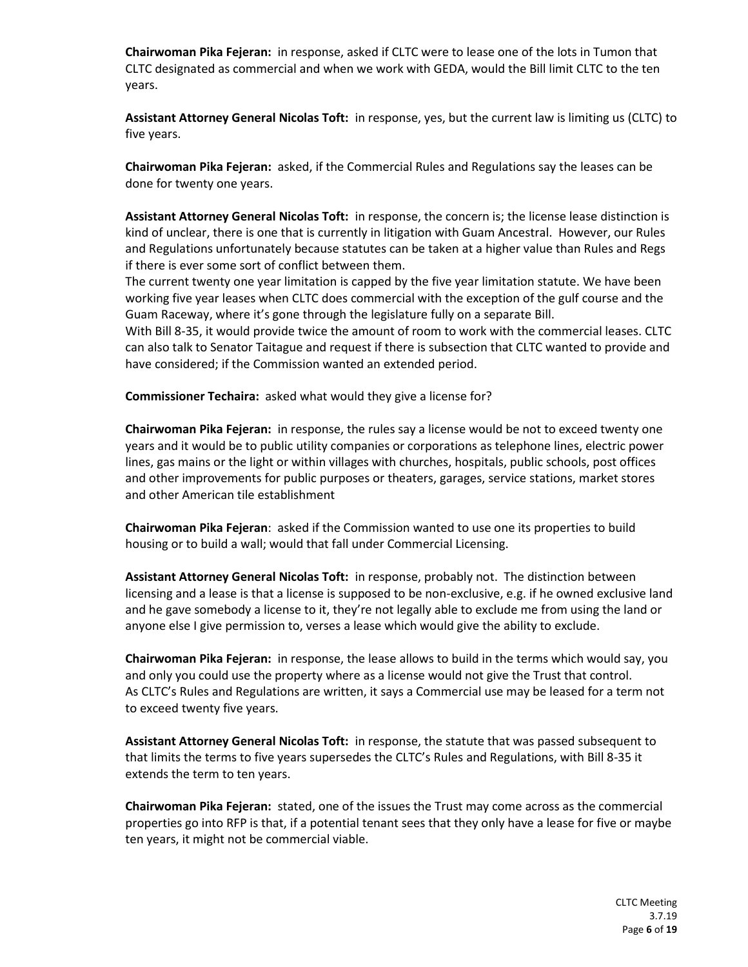**Chairwoman Pika Fejeran:** in response, asked if CLTC were to lease one of the lots in Tumon that CLTC designated as commercial and when we work with GEDA, would the Bill limit CLTC to the ten years.

**Assistant Attorney General Nicolas Toft:** in response, yes, but the current law is limiting us (CLTC) to five years.

**Chairwoman Pika Fejeran:** asked, if the Commercial Rules and Regulations say the leases can be done for twenty one years.

**Assistant Attorney General Nicolas Toft:** in response, the concern is; the license lease distinction is kind of unclear, there is one that is currently in litigation with Guam Ancestral. However, our Rules and Regulations unfortunately because statutes can be taken at a higher value than Rules and Regs if there is ever some sort of conflict between them.

The current twenty one year limitation is capped by the five year limitation statute. We have been working five year leases when CLTC does commercial with the exception of the gulf course and the Guam Raceway, where it's gone through the legislature fully on a separate Bill.

With Bill 8-35, it would provide twice the amount of room to work with the commercial leases. CLTC can also talk to Senator Taitague and request if there is subsection that CLTC wanted to provide and have considered; if the Commission wanted an extended period.

**Commissioner Techaira:** asked what would they give a license for?

**Chairwoman Pika Fejeran:** in response, the rules say a license would be not to exceed twenty one years and it would be to public utility companies or corporations as telephone lines, electric power lines, gas mains or the light or within villages with churches, hospitals, public schools, post offices and other improvements for public purposes or theaters, garages, service stations, market stores and other American tile establishment

**Chairwoman Pika Fejeran**: asked if the Commission wanted to use one its properties to build housing or to build a wall; would that fall under Commercial Licensing.

**Assistant Attorney General Nicolas Toft:** in response, probably not. The distinction between licensing and a lease is that a license is supposed to be non-exclusive, e.g. if he owned exclusive land and he gave somebody a license to it, they're not legally able to exclude me from using the land or anyone else I give permission to, verses a lease which would give the ability to exclude.

**Chairwoman Pika Fejeran:** in response, the lease allows to build in the terms which would say, you and only you could use the property where as a license would not give the Trust that control. As CLTC's Rules and Regulations are written, it says a Commercial use may be leased for a term not to exceed twenty five years.

**Assistant Attorney General Nicolas Toft:** in response, the statute that was passed subsequent to that limits the terms to five years supersedes the CLTC's Rules and Regulations, with Bill 8-35 it extends the term to ten years.

**Chairwoman Pika Fejeran:** stated, one of the issues the Trust may come across as the commercial properties go into RFP is that, if a potential tenant sees that they only have a lease for five or maybe ten years, it might not be commercial viable.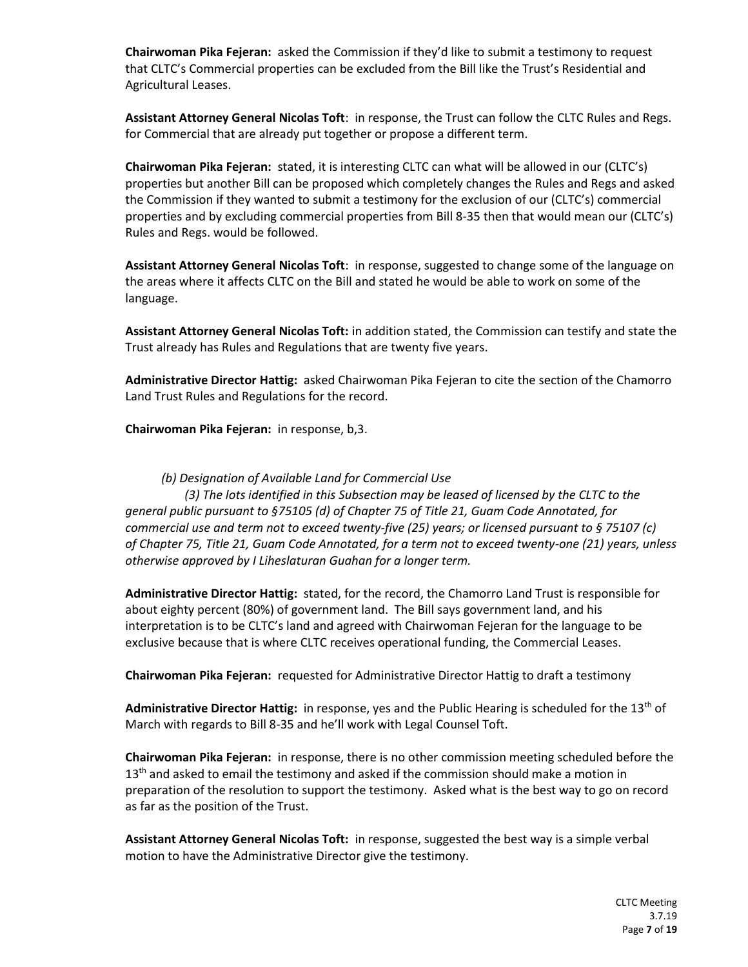**Chairwoman Pika Fejeran:** asked the Commission if they'd like to submit a testimony to request that CLTC's Commercial properties can be excluded from the Bill like the Trust's Residential and Agricultural Leases.

**Assistant Attorney General Nicolas Toft**: in response, the Trust can follow the CLTC Rules and Regs. for Commercial that are already put together or propose a different term.

**Chairwoman Pika Fejeran:** stated, it is interesting CLTC can what will be allowed in our (CLTC's) properties but another Bill can be proposed which completely changes the Rules and Regs and asked the Commission if they wanted to submit a testimony for the exclusion of our (CLTC's) commercial properties and by excluding commercial properties from Bill 8-35 then that would mean our (CLTC's) Rules and Regs. would be followed.

**Assistant Attorney General Nicolas Toft**: in response, suggested to change some of the language on the areas where it affects CLTC on the Bill and stated he would be able to work on some of the language.

**Assistant Attorney General Nicolas Toft:** in addition stated, the Commission can testify and state the Trust already has Rules and Regulations that are twenty five years.

**Administrative Director Hattig:** asked Chairwoman Pika Fejeran to cite the section of the Chamorro Land Trust Rules and Regulations for the record.

**Chairwoman Pika Fejeran:** in response, b,3.

## *(b) Designation of Available Land for Commercial Use*

*(3) The lots identified in this Subsection may be leased of licensed by the CLTC to the general public pursuant to §75105 (d) of Chapter 75 of Title 21, Guam Code Annotated, for commercial use and term not to exceed twenty-five (25) years; or licensed pursuant to § 75107 (c) of Chapter 75, Title 21, Guam Code Annotated, for a term not to exceed twenty-one (21) years, unless otherwise approved by I Liheslaturan Guahan for a longer term.* 

**Administrative Director Hattig:** stated, for the record, the Chamorro Land Trust is responsible for about eighty percent (80%) of government land. The Bill says government land, and his interpretation is to be CLTC's land and agreed with Chairwoman Fejeran for the language to be exclusive because that is where CLTC receives operational funding, the Commercial Leases.

**Chairwoman Pika Fejeran:** requested for Administrative Director Hattig to draft a testimony

Administrative Director Hattig: in response, yes and the Public Hearing is scheduled for the 13<sup>th</sup> of March with regards to Bill 8-35 and he'll work with Legal Counsel Toft.

**Chairwoman Pika Fejeran:** in response, there is no other commission meeting scheduled before the  $13<sup>th</sup>$  and asked to email the testimony and asked if the commission should make a motion in preparation of the resolution to support the testimony. Asked what is the best way to go on record as far as the position of the Trust.

**Assistant Attorney General Nicolas Toft:** in response, suggested the best way is a simple verbal motion to have the Administrative Director give the testimony.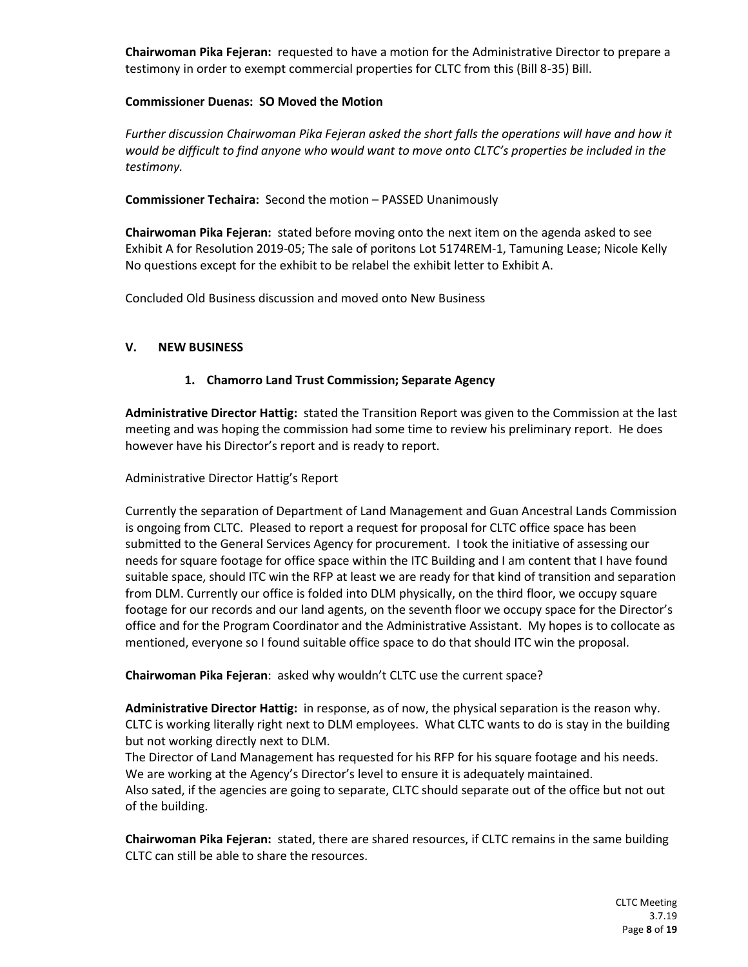**Chairwoman Pika Fejeran:** requested to have a motion for the Administrative Director to prepare a testimony in order to exempt commercial properties for CLTC from this (Bill 8-35) Bill.

#### **Commissioner Duenas: SO Moved the Motion**

*Further discussion Chairwoman Pika Fejeran asked the short falls the operations will have and how it would be difficult to find anyone who would want to move onto CLTC's properties be included in the testimony.*

**Commissioner Techaira:** Second the motion – PASSED Unanimously

**Chairwoman Pika Fejeran:** stated before moving onto the next item on the agenda asked to see Exhibit A for Resolution 2019-05; The sale of poritons Lot 5174REM-1, Tamuning Lease; Nicole Kelly No questions except for the exhibit to be relabel the exhibit letter to Exhibit A.

Concluded Old Business discussion and moved onto New Business

## **V. NEW BUSINESS**

# **1. Chamorro Land Trust Commission; Separate Agency**

**Administrative Director Hattig:** stated the Transition Report was given to the Commission at the last meeting and was hoping the commission had some time to review his preliminary report. He does however have his Director's report and is ready to report.

Administrative Director Hattig's Report

Currently the separation of Department of Land Management and Guan Ancestral Lands Commission is ongoing from CLTC. Pleased to report a request for proposal for CLTC office space has been submitted to the General Services Agency for procurement. I took the initiative of assessing our needs for square footage for office space within the ITC Building and I am content that I have found suitable space, should ITC win the RFP at least we are ready for that kind of transition and separation from DLM. Currently our office is folded into DLM physically, on the third floor, we occupy square footage for our records and our land agents, on the seventh floor we occupy space for the Director's office and for the Program Coordinator and the Administrative Assistant. My hopes is to collocate as mentioned, everyone so I found suitable office space to do that should ITC win the proposal.

**Chairwoman Pika Fejeran**: asked why wouldn't CLTC use the current space?

**Administrative Director Hattig:** in response, as of now, the physical separation is the reason why. CLTC is working literally right next to DLM employees. What CLTC wants to do is stay in the building but not working directly next to DLM.

The Director of Land Management has requested for his RFP for his square footage and his needs. We are working at the Agency's Director's level to ensure it is adequately maintained. Also sated, if the agencies are going to separate, CLTC should separate out of the office but not out of the building.

**Chairwoman Pika Fejeran:** stated, there are shared resources, if CLTC remains in the same building CLTC can still be able to share the resources.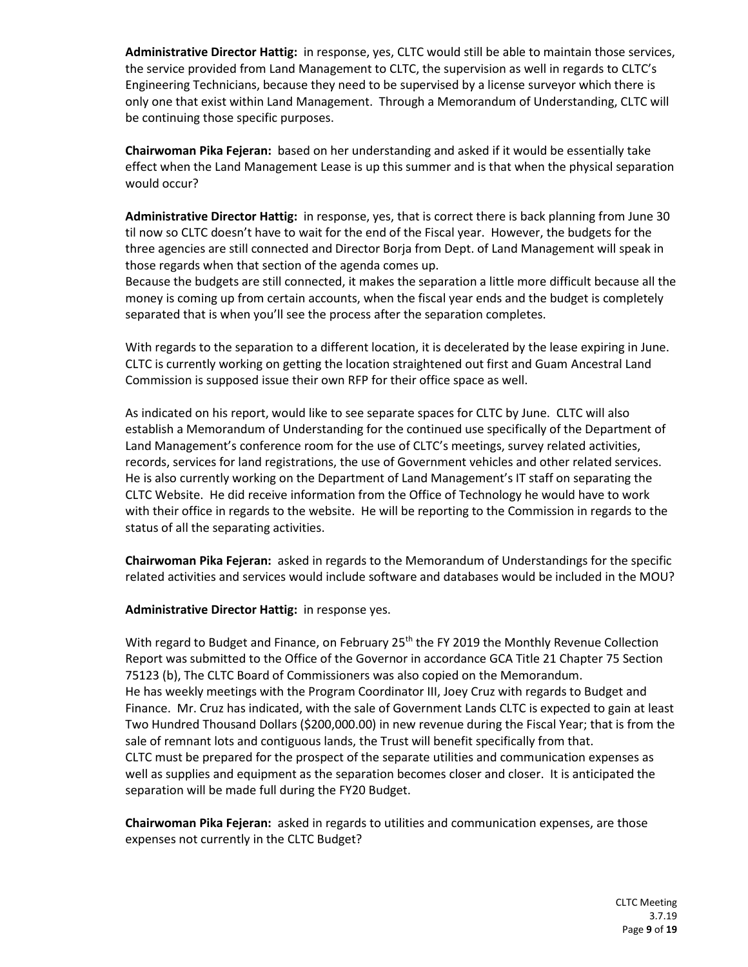**Administrative Director Hattig:** in response, yes, CLTC would still be able to maintain those services, the service provided from Land Management to CLTC, the supervision as well in regards to CLTC's Engineering Technicians, because they need to be supervised by a license surveyor which there is only one that exist within Land Management. Through a Memorandum of Understanding, CLTC will be continuing those specific purposes.

**Chairwoman Pika Fejeran:** based on her understanding and asked if it would be essentially take effect when the Land Management Lease is up this summer and is that when the physical separation would occur?

**Administrative Director Hattig:** in response, yes, that is correct there is back planning from June 30 til now so CLTC doesn't have to wait for the end of the Fiscal year. However, the budgets for the three agencies are still connected and Director Borja from Dept. of Land Management will speak in those regards when that section of the agenda comes up.

Because the budgets are still connected, it makes the separation a little more difficult because all the money is coming up from certain accounts, when the fiscal year ends and the budget is completely separated that is when you'll see the process after the separation completes.

With regards to the separation to a different location, it is decelerated by the lease expiring in June. CLTC is currently working on getting the location straightened out first and Guam Ancestral Land Commission is supposed issue their own RFP for their office space as well.

As indicated on his report, would like to see separate spaces for CLTC by June. CLTC will also establish a Memorandum of Understanding for the continued use specifically of the Department of Land Management's conference room for the use of CLTC's meetings, survey related activities, records, services for land registrations, the use of Government vehicles and other related services. He is also currently working on the Department of Land Management's IT staff on separating the CLTC Website. He did receive information from the Office of Technology he would have to work with their office in regards to the website. He will be reporting to the Commission in regards to the status of all the separating activities.

**Chairwoman Pika Fejeran:** asked in regards to the Memorandum of Understandings for the specific related activities and services would include software and databases would be included in the MOU?

#### **Administrative Director Hattig:** in response yes.

With regard to Budget and Finance, on February  $25<sup>th</sup>$  the FY 2019 the Monthly Revenue Collection Report was submitted to the Office of the Governor in accordance GCA Title 21 Chapter 75 Section 75123 (b), The CLTC Board of Commissioners was also copied on the Memorandum. He has weekly meetings with the Program Coordinator III, Joey Cruz with regards to Budget and Finance. Mr. Cruz has indicated, with the sale of Government Lands CLTC is expected to gain at least Two Hundred Thousand Dollars (\$200,000.00) in new revenue during the Fiscal Year; that is from the sale of remnant lots and contiguous lands, the Trust will benefit specifically from that. CLTC must be prepared for the prospect of the separate utilities and communication expenses as well as supplies and equipment as the separation becomes closer and closer. It is anticipated the separation will be made full during the FY20 Budget.

**Chairwoman Pika Fejeran:** asked in regards to utilities and communication expenses, are those expenses not currently in the CLTC Budget?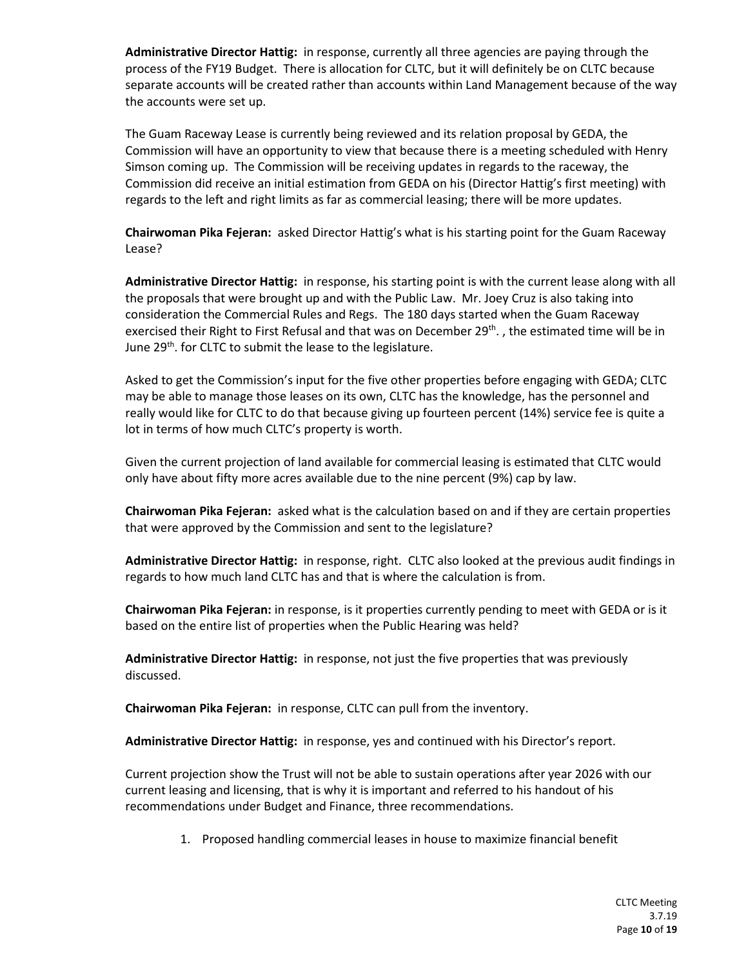**Administrative Director Hattig:** in response, currently all three agencies are paying through the process of the FY19 Budget. There is allocation for CLTC, but it will definitely be on CLTC because separate accounts will be created rather than accounts within Land Management because of the way the accounts were set up.

The Guam Raceway Lease is currently being reviewed and its relation proposal by GEDA, the Commission will have an opportunity to view that because there is a meeting scheduled with Henry Simson coming up. The Commission will be receiving updates in regards to the raceway, the Commission did receive an initial estimation from GEDA on his (Director Hattig's first meeting) with regards to the left and right limits as far as commercial leasing; there will be more updates.

**Chairwoman Pika Fejeran:** asked Director Hattig's what is his starting point for the Guam Raceway Lease?

**Administrative Director Hattig:** in response, his starting point is with the current lease along with all the proposals that were brought up and with the Public Law. Mr. Joey Cruz is also taking into consideration the Commercial Rules and Regs. The 180 days started when the Guam Raceway exercised their Right to First Refusal and that was on December 29<sup>th</sup>., the estimated time will be in June 29<sup>th</sup>. for CLTC to submit the lease to the legislature.

Asked to get the Commission's input for the five other properties before engaging with GEDA; CLTC may be able to manage those leases on its own, CLTC has the knowledge, has the personnel and really would like for CLTC to do that because giving up fourteen percent (14%) service fee is quite a lot in terms of how much CLTC's property is worth.

Given the current projection of land available for commercial leasing is estimated that CLTC would only have about fifty more acres available due to the nine percent (9%) cap by law.

**Chairwoman Pika Fejeran:** asked what is the calculation based on and if they are certain properties that were approved by the Commission and sent to the legislature?

**Administrative Director Hattig:** in response, right. CLTC also looked at the previous audit findings in regards to how much land CLTC has and that is where the calculation is from.

**Chairwoman Pika Fejeran:** in response, is it properties currently pending to meet with GEDA or is it based on the entire list of properties when the Public Hearing was held?

**Administrative Director Hattig:** in response, not just the five properties that was previously discussed.

**Chairwoman Pika Fejeran:** in response, CLTC can pull from the inventory.

**Administrative Director Hattig:** in response, yes and continued with his Director's report.

Current projection show the Trust will not be able to sustain operations after year 2026 with our current leasing and licensing, that is why it is important and referred to his handout of his recommendations under Budget and Finance, three recommendations.

1. Proposed handling commercial leases in house to maximize financial benefit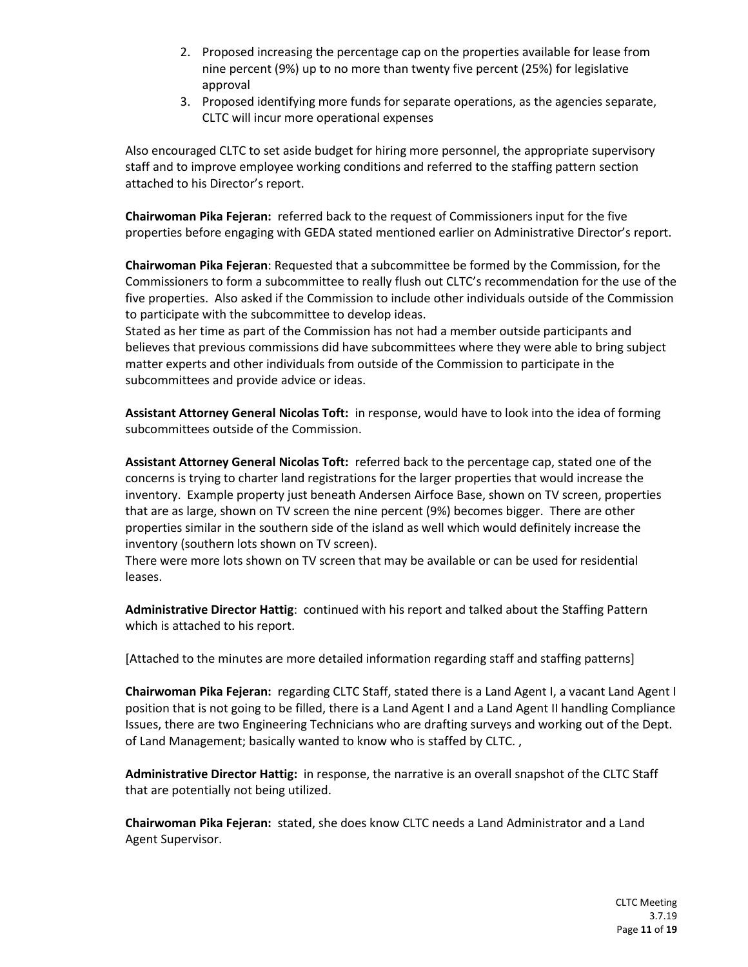- 2. Proposed increasing the percentage cap on the properties available for lease from nine percent (9%) up to no more than twenty five percent (25%) for legislative approval
- 3. Proposed identifying more funds for separate operations, as the agencies separate, CLTC will incur more operational expenses

Also encouraged CLTC to set aside budget for hiring more personnel, the appropriate supervisory staff and to improve employee working conditions and referred to the staffing pattern section attached to his Director's report.

**Chairwoman Pika Fejeran:** referred back to the request of Commissioners input for the five properties before engaging with GEDA stated mentioned earlier on Administrative Director's report.

**Chairwoman Pika Fejeran**: Requested that a subcommittee be formed by the Commission, for the Commissioners to form a subcommittee to really flush out CLTC's recommendation for the use of the five properties. Also asked if the Commission to include other individuals outside of the Commission to participate with the subcommittee to develop ideas.

Stated as her time as part of the Commission has not had a member outside participants and believes that previous commissions did have subcommittees where they were able to bring subject matter experts and other individuals from outside of the Commission to participate in the subcommittees and provide advice or ideas.

**Assistant Attorney General Nicolas Toft:** in response, would have to look into the idea of forming subcommittees outside of the Commission.

**Assistant Attorney General Nicolas Toft:** referred back to the percentage cap, stated one of the concerns is trying to charter land registrations for the larger properties that would increase the inventory. Example property just beneath Andersen Airfoce Base, shown on TV screen, properties that are as large, shown on TV screen the nine percent (9%) becomes bigger. There are other properties similar in the southern side of the island as well which would definitely increase the inventory (southern lots shown on TV screen).

There were more lots shown on TV screen that may be available or can be used for residential leases.

**Administrative Director Hattig**: continued with his report and talked about the Staffing Pattern which is attached to his report.

[Attached to the minutes are more detailed information regarding staff and staffing patterns]

**Chairwoman Pika Fejeran:** regarding CLTC Staff, stated there is a Land Agent I, a vacant Land Agent I position that is not going to be filled, there is a Land Agent I and a Land Agent II handling Compliance Issues, there are two Engineering Technicians who are drafting surveys and working out of the Dept. of Land Management; basically wanted to know who is staffed by CLTC. ,

**Administrative Director Hattig:** in response, the narrative is an overall snapshot of the CLTC Staff that are potentially not being utilized.

**Chairwoman Pika Fejeran:** stated, she does know CLTC needs a Land Administrator and a Land Agent Supervisor.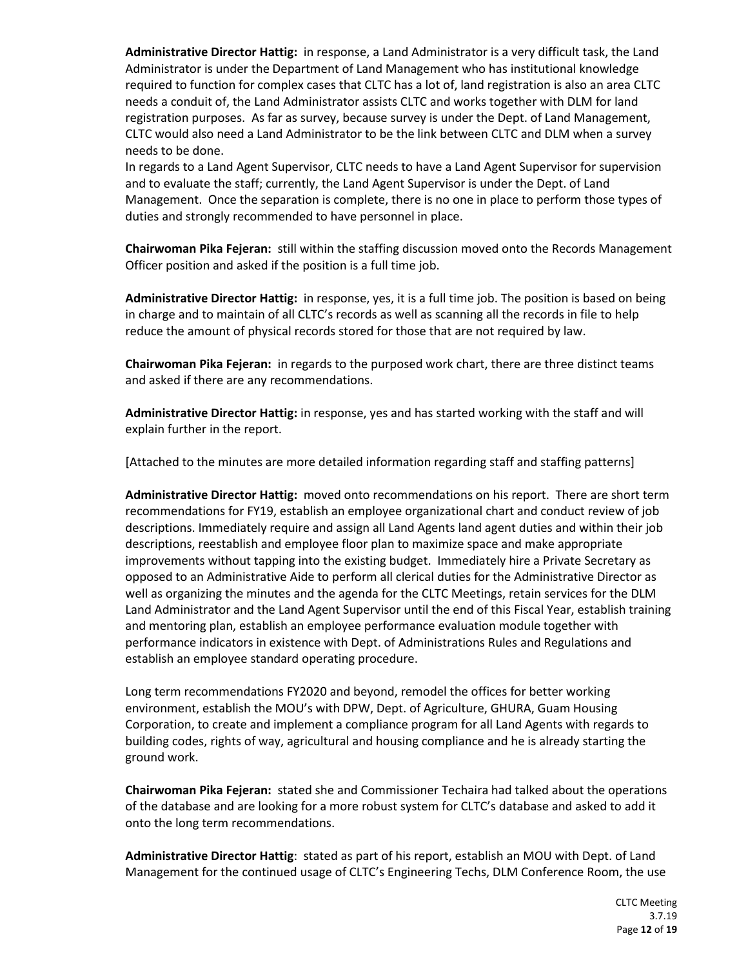**Administrative Director Hattig:** in response, a Land Administrator is a very difficult task, the Land Administrator is under the Department of Land Management who has institutional knowledge required to function for complex cases that CLTC has a lot of, land registration is also an area CLTC needs a conduit of, the Land Administrator assists CLTC and works together with DLM for land registration purposes. As far as survey, because survey is under the Dept. of Land Management, CLTC would also need a Land Administrator to be the link between CLTC and DLM when a survey needs to be done.

In regards to a Land Agent Supervisor, CLTC needs to have a Land Agent Supervisor for supervision and to evaluate the staff; currently, the Land Agent Supervisor is under the Dept. of Land Management. Once the separation is complete, there is no one in place to perform those types of duties and strongly recommended to have personnel in place.

**Chairwoman Pika Fejeran:** still within the staffing discussion moved onto the Records Management Officer position and asked if the position is a full time job.

**Administrative Director Hattig:** in response, yes, it is a full time job. The position is based on being in charge and to maintain of all CLTC's records as well as scanning all the records in file to help reduce the amount of physical records stored for those that are not required by law.

**Chairwoman Pika Fejeran:** in regards to the purposed work chart, there are three distinct teams and asked if there are any recommendations.

**Administrative Director Hattig:** in response, yes and has started working with the staff and will explain further in the report.

[Attached to the minutes are more detailed information regarding staff and staffing patterns]

**Administrative Director Hattig:** moved onto recommendations on his report. There are short term recommendations for FY19, establish an employee organizational chart and conduct review of job descriptions. Immediately require and assign all Land Agents land agent duties and within their job descriptions, reestablish and employee floor plan to maximize space and make appropriate improvements without tapping into the existing budget. Immediately hire a Private Secretary as opposed to an Administrative Aide to perform all clerical duties for the Administrative Director as well as organizing the minutes and the agenda for the CLTC Meetings, retain services for the DLM Land Administrator and the Land Agent Supervisor until the end of this Fiscal Year, establish training and mentoring plan, establish an employee performance evaluation module together with performance indicators in existence with Dept. of Administrations Rules and Regulations and establish an employee standard operating procedure.

Long term recommendations FY2020 and beyond, remodel the offices for better working environment, establish the MOU's with DPW, Dept. of Agriculture, GHURA, Guam Housing Corporation, to create and implement a compliance program for all Land Agents with regards to building codes, rights of way, agricultural and housing compliance and he is already starting the ground work.

**Chairwoman Pika Fejeran:** stated she and Commissioner Techaira had talked about the operations of the database and are looking for a more robust system for CLTC's database and asked to add it onto the long term recommendations.

**Administrative Director Hattig**: stated as part of his report, establish an MOU with Dept. of Land Management for the continued usage of CLTC's Engineering Techs, DLM Conference Room, the use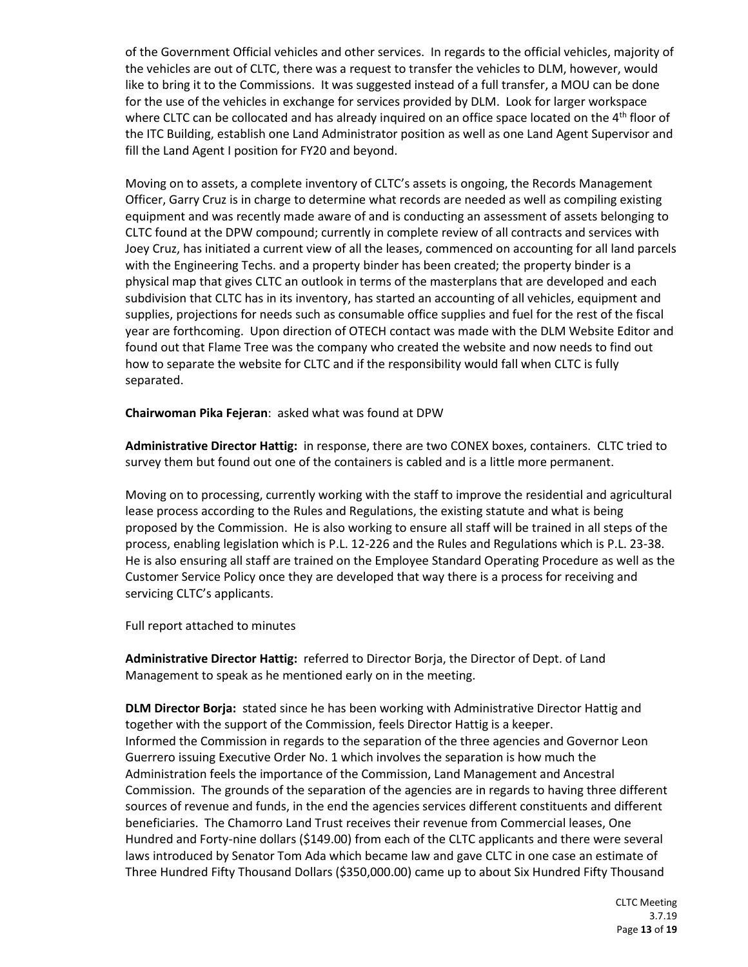of the Government Official vehicles and other services. In regards to the official vehicles, majority of the vehicles are out of CLTC, there was a request to transfer the vehicles to DLM, however, would like to bring it to the Commissions. It was suggested instead of a full transfer, a MOU can be done for the use of the vehicles in exchange for services provided by DLM. Look for larger workspace where CLTC can be collocated and has already inquired on an office space located on the  $4<sup>th</sup>$  floor of the ITC Building, establish one Land Administrator position as well as one Land Agent Supervisor and fill the Land Agent I position for FY20 and beyond.

Moving on to assets, a complete inventory of CLTC's assets is ongoing, the Records Management Officer, Garry Cruz is in charge to determine what records are needed as well as compiling existing equipment and was recently made aware of and is conducting an assessment of assets belonging to CLTC found at the DPW compound; currently in complete review of all contracts and services with Joey Cruz, has initiated a current view of all the leases, commenced on accounting for all land parcels with the Engineering Techs. and a property binder has been created; the property binder is a physical map that gives CLTC an outlook in terms of the masterplans that are developed and each subdivision that CLTC has in its inventory, has started an accounting of all vehicles, equipment and supplies, projections for needs such as consumable office supplies and fuel for the rest of the fiscal year are forthcoming. Upon direction of OTECH contact was made with the DLM Website Editor and found out that Flame Tree was the company who created the website and now needs to find out how to separate the website for CLTC and if the responsibility would fall when CLTC is fully separated.

**Chairwoman Pika Fejeran**: asked what was found at DPW

**Administrative Director Hattig:** in response, there are two CONEX boxes, containers. CLTC tried to survey them but found out one of the containers is cabled and is a little more permanent.

Moving on to processing, currently working with the staff to improve the residential and agricultural lease process according to the Rules and Regulations, the existing statute and what is being proposed by the Commission. He is also working to ensure all staff will be trained in all steps of the process, enabling legislation which is P.L. 12-226 and the Rules and Regulations which is P.L. 23-38. He is also ensuring all staff are trained on the Employee Standard Operating Procedure as well as the Customer Service Policy once they are developed that way there is a process for receiving and servicing CLTC's applicants.

Full report attached to minutes

**Administrative Director Hattig:** referred to Director Borja, the Director of Dept. of Land Management to speak as he mentioned early on in the meeting.

**DLM Director Borja:** stated since he has been working with Administrative Director Hattig and together with the support of the Commission, feels Director Hattig is a keeper. Informed the Commission in regards to the separation of the three agencies and Governor Leon Guerrero issuing Executive Order No. 1 which involves the separation is how much the Administration feels the importance of the Commission, Land Management and Ancestral Commission. The grounds of the separation of the agencies are in regards to having three different sources of revenue and funds, in the end the agencies services different constituents and different beneficiaries. The Chamorro Land Trust receives their revenue from Commercial leases, One Hundred and Forty-nine dollars (\$149.00) from each of the CLTC applicants and there were several laws introduced by Senator Tom Ada which became law and gave CLTC in one case an estimate of Three Hundred Fifty Thousand Dollars (\$350,000.00) came up to about Six Hundred Fifty Thousand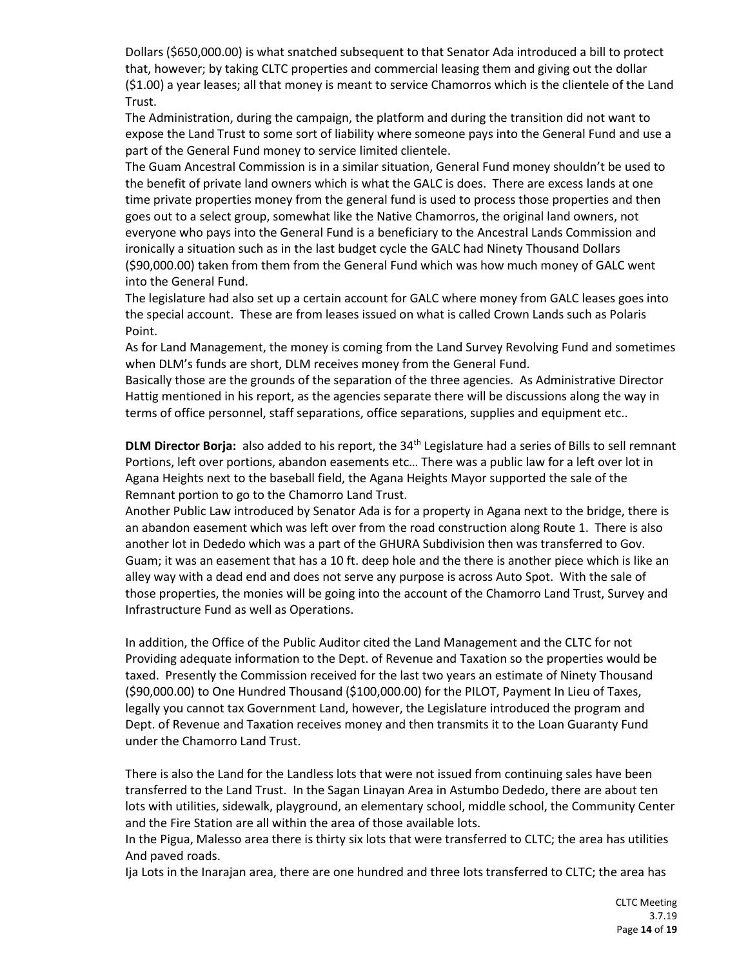Dollars (\$650,000.00) is what snatched subsequent to that Senator Ada introduced a bill to protect that, however; by taking CLTC properties and commercial leasing them and giving out the dollar (\$1.00) a year leases; all that money is meant to service Chamorros which is the clientele of the Land Trust.

The Administration, during the campaign, the platform and during the transition did not want to expose the Land Trust to some sort of liability where someone pays into the General Fund and use a part of the General Fund money to service limited clientele.

The Guam Ancestral Commission is in a similar situation, General Fund money shouldn't be used to the benefit of private land owners which is what the GALC is does. There are excess lands at one time private properties money from the general fund is used to process those properties and then goes out to a select group, somewhat like the Native Chamorros, the original land owners, not everyone who pays into the General Fund is a beneficiary to the Ancestral Lands Commission and ironically a situation such as in the last budget cycle the GALC had Ninety Thousand Dollars (\$90,000.00) taken from them from the General Fund which was how much money of GALC went into the General Fund.

The legislature had also set up a certain account for GALC where money from GALC leases goes into the special account. These are from leases issued on what is called Crown Lands such as Polaris Point.

As for Land Management, the money is coming from the Land Survey Revolving Fund and sometimes when DLM's funds are short, DLM receives money from the General Fund.

Basically those are the grounds of the separation of the three agencies. As Administrative Director Hattig mentioned in his report, as the agencies separate there will be discussions along the way in terms of office personnel, staff separations, office separations, supplies and equipment etc..

**DLM Director Borja:** also added to his report, the 34th Legislature had a series of Bills to sell remnant Portions, left over portions, abandon easements etc… There was a public law for a left over lot in Agana Heights next to the baseball field, the Agana Heights Mayor supported the sale of the Remnant portion to go to the Chamorro Land Trust.

Another Public Law introduced by Senator Ada is for a property in Agana next to the bridge, there is an abandon easement which was left over from the road construction along Route 1. There is also another lot in Dededo which was a part of the GHURA Subdivision then was transferred to Gov. Guam; it was an easement that has a 10 ft. deep hole and the there is another piece which is like an alley way with a dead end and does not serve any purpose is across Auto Spot. With the sale of those properties, the monies will be going into the account of the Chamorro Land Trust, Survey and Infrastructure Fund as well as Operations.

In addition, the Office of the Public Auditor cited the Land Management and the CLTC for not Providing adequate information to the Dept. of Revenue and Taxation so the properties would be taxed. Presently the Commission received for the last two years an estimate of Ninety Thousand (\$90,000.00) to One Hundred Thousand (\$100,000.00) for the PILOT, Payment In Lieu of Taxes, legally you cannot tax Government Land, however, the Legislature introduced the program and Dept. of Revenue and Taxation receives money and then transmits it to the Loan Guaranty Fund under the Chamorro Land Trust.

There is also the Land for the Landless lots that were not issued from continuing sales have been transferred to the Land Trust. In the Sagan Linayan Area in Astumbo Dededo, there are about ten lots with utilities, sidewalk, playground, an elementary school, middle school, the Community Center and the Fire Station are all within the area of those available lots.

In the Pigua, Malesso area there is thirty six lots that were transferred to CLTC; the area has utilities And paved roads.

Ija Lots in the Inarajan area, there are one hundred and three lots transferred to CLTC; the area has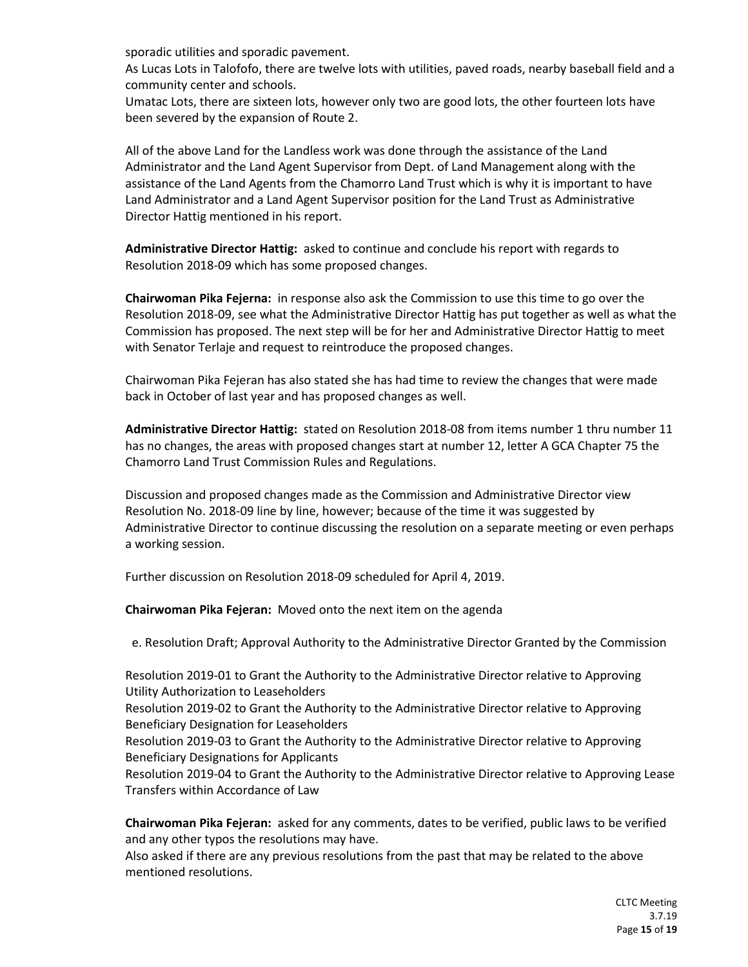sporadic utilities and sporadic pavement.

As Lucas Lots in Talofofo, there are twelve lots with utilities, paved roads, nearby baseball field and a community center and schools.

Umatac Lots, there are sixteen lots, however only two are good lots, the other fourteen lots have been severed by the expansion of Route 2.

All of the above Land for the Landless work was done through the assistance of the Land Administrator and the Land Agent Supervisor from Dept. of Land Management along with the assistance of the Land Agents from the Chamorro Land Trust which is why it is important to have Land Administrator and a Land Agent Supervisor position for the Land Trust as Administrative Director Hattig mentioned in his report.

**Administrative Director Hattig:** asked to continue and conclude his report with regards to Resolution 2018-09 which has some proposed changes.

**Chairwoman Pika Fejerna:** in response also ask the Commission to use this time to go over the Resolution 2018-09, see what the Administrative Director Hattig has put together as well as what the Commission has proposed. The next step will be for her and Administrative Director Hattig to meet with Senator Terlaje and request to reintroduce the proposed changes.

Chairwoman Pika Fejeran has also stated she has had time to review the changes that were made back in October of last year and has proposed changes as well.

**Administrative Director Hattig:** stated on Resolution 2018-08 from items number 1 thru number 11 has no changes, the areas with proposed changes start at number 12, letter A GCA Chapter 75 the Chamorro Land Trust Commission Rules and Regulations.

Discussion and proposed changes made as the Commission and Administrative Director view Resolution No. 2018-09 line by line, however; because of the time it was suggested by Administrative Director to continue discussing the resolution on a separate meeting or even perhaps a working session.

Further discussion on Resolution 2018-09 scheduled for April 4, 2019.

**Chairwoman Pika Fejeran:** Moved onto the next item on the agenda

e. Resolution Draft; Approval Authority to the Administrative Director Granted by the Commission

Resolution 2019-01 to Grant the Authority to the Administrative Director relative to Approving Utility Authorization to Leaseholders Resolution 2019-02 to Grant the Authority to the Administrative Director relative to Approving Beneficiary Designation for Leaseholders Resolution 2019-03 to Grant the Authority to the Administrative Director relative to Approving Beneficiary Designations for Applicants Resolution 2019-04 to Grant the Authority to the Administrative Director relative to Approving Lease Transfers within Accordance of Law

**Chairwoman Pika Fejeran:** asked for any comments, dates to be verified, public laws to be verified and any other typos the resolutions may have.

Also asked if there are any previous resolutions from the past that may be related to the above mentioned resolutions.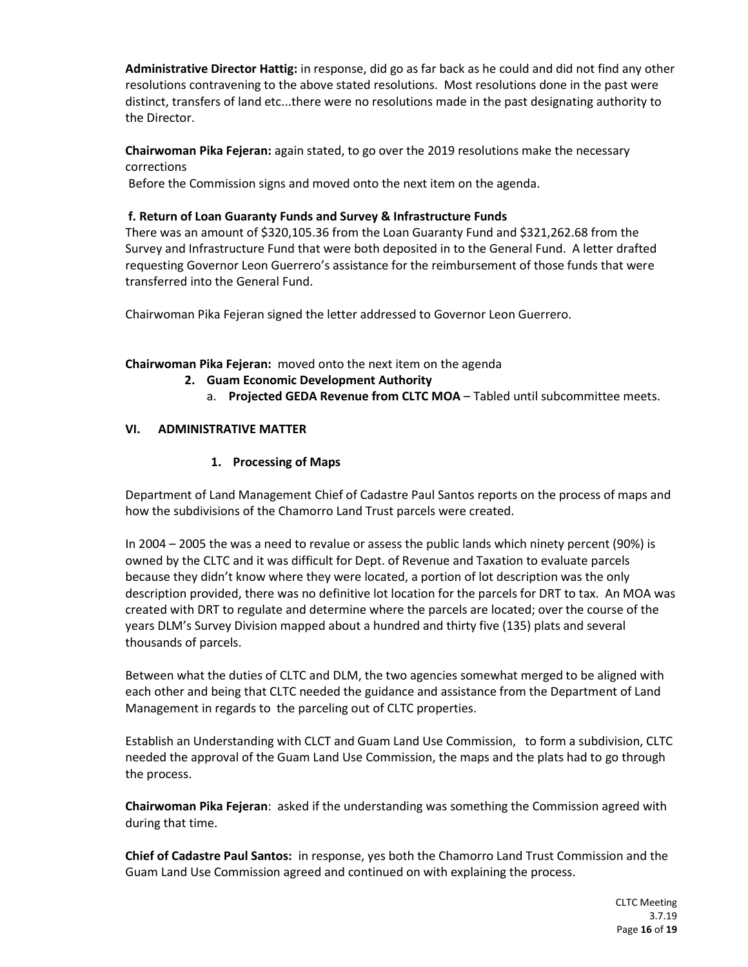**Administrative Director Hattig:** in response, did go as far back as he could and did not find any other resolutions contravening to the above stated resolutions. Most resolutions done in the past were distinct, transfers of land etc...there were no resolutions made in the past designating authority to the Director.

**Chairwoman Pika Fejeran:** again stated, to go over the 2019 resolutions make the necessary corrections

Before the Commission signs and moved onto the next item on the agenda.

## **f. Return of Loan Guaranty Funds and Survey & Infrastructure Funds**

There was an amount of \$320,105.36 from the Loan Guaranty Fund and \$321,262.68 from the Survey and Infrastructure Fund that were both deposited in to the General Fund. A letter drafted requesting Governor Leon Guerrero's assistance for the reimbursement of those funds that were transferred into the General Fund.

Chairwoman Pika Fejeran signed the letter addressed to Governor Leon Guerrero.

## **Chairwoman Pika Fejeran:** moved onto the next item on the agenda

## **2. Guam Economic Development Authority**

a. **Projected GEDA Revenue from CLTC MOA** – Tabled until subcommittee meets.

# **VI. ADMINISTRATIVE MATTER**

# **1. Processing of Maps**

Department of Land Management Chief of Cadastre Paul Santos reports on the process of maps and how the subdivisions of the Chamorro Land Trust parcels were created.

In 2004 – 2005 the was a need to revalue or assess the public lands which ninety percent (90%) is owned by the CLTC and it was difficult for Dept. of Revenue and Taxation to evaluate parcels because they didn't know where they were located, a portion of lot description was the only description provided, there was no definitive lot location for the parcels for DRT to tax. An MOA was created with DRT to regulate and determine where the parcels are located; over the course of the years DLM's Survey Division mapped about a hundred and thirty five (135) plats and several thousands of parcels.

Between what the duties of CLTC and DLM, the two agencies somewhat merged to be aligned with each other and being that CLTC needed the guidance and assistance from the Department of Land Management in regards to the parceling out of CLTC properties.

Establish an Understanding with CLCT and Guam Land Use Commission, to form a subdivision, CLTC needed the approval of the Guam Land Use Commission, the maps and the plats had to go through the process.

**Chairwoman Pika Fejeran**: asked if the understanding was something the Commission agreed with during that time.

**Chief of Cadastre Paul Santos:** in response, yes both the Chamorro Land Trust Commission and the Guam Land Use Commission agreed and continued on with explaining the process.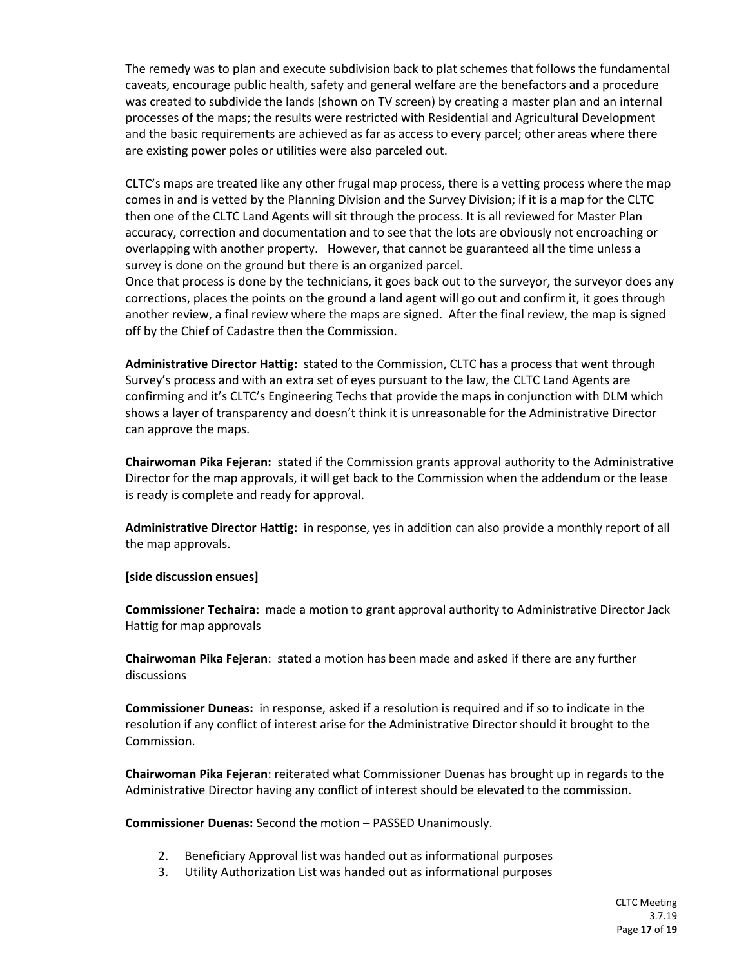The remedy was to plan and execute subdivision back to plat schemes that follows the fundamental caveats, encourage public health, safety and general welfare are the benefactors and a procedure was created to subdivide the lands (shown on TV screen) by creating a master plan and an internal processes of the maps; the results were restricted with Residential and Agricultural Development and the basic requirements are achieved as far as access to every parcel; other areas where there are existing power poles or utilities were also parceled out.

CLTC's maps are treated like any other frugal map process, there is a vetting process where the map comes in and is vetted by the Planning Division and the Survey Division; if it is a map for the CLTC then one of the CLTC Land Agents will sit through the process. It is all reviewed for Master Plan accuracy, correction and documentation and to see that the lots are obviously not encroaching or overlapping with another property. However, that cannot be guaranteed all the time unless a survey is done on the ground but there is an organized parcel.

Once that process is done by the technicians, it goes back out to the surveyor, the surveyor does any corrections, places the points on the ground a land agent will go out and confirm it, it goes through another review, a final review where the maps are signed. After the final review, the map is signed off by the Chief of Cadastre then the Commission.

**Administrative Director Hattig:** stated to the Commission, CLTC has a process that went through Survey's process and with an extra set of eyes pursuant to the law, the CLTC Land Agents are confirming and it's CLTC's Engineering Techs that provide the maps in conjunction with DLM which shows a layer of transparency and doesn't think it is unreasonable for the Administrative Director can approve the maps.

**Chairwoman Pika Fejeran:** stated if the Commission grants approval authority to the Administrative Director for the map approvals, it will get back to the Commission when the addendum or the lease is ready is complete and ready for approval.

**Administrative Director Hattig:** in response, yes in addition can also provide a monthly report of all the map approvals.

#### **[side discussion ensues]**

**Commissioner Techaira:** made a motion to grant approval authority to Administrative Director Jack Hattig for map approvals

**Chairwoman Pika Fejeran**: stated a motion has been made and asked if there are any further discussions

**Commissioner Duneas:** in response, asked if a resolution is required and if so to indicate in the resolution if any conflict of interest arise for the Administrative Director should it brought to the Commission.

**Chairwoman Pika Fejeran**: reiterated what Commissioner Duenas has brought up in regards to the Administrative Director having any conflict of interest should be elevated to the commission.

**Commissioner Duenas:** Second the motion – PASSED Unanimously.

- 2. Beneficiary Approval list was handed out as informational purposes
- 3. Utility Authorization List was handed out as informational purposes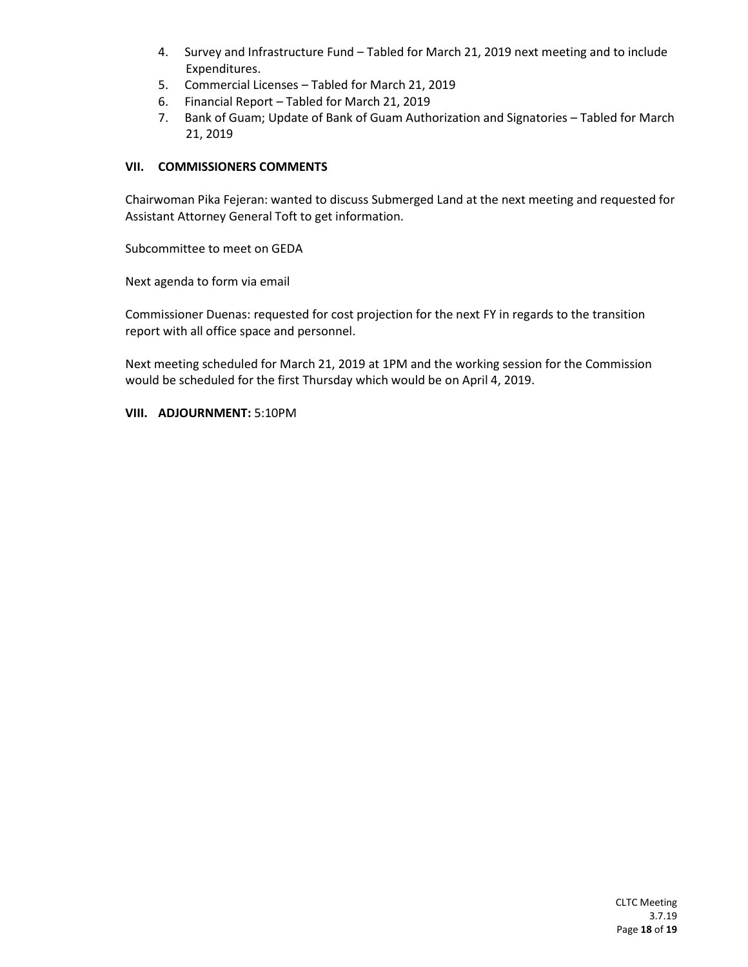- 4. Survey and Infrastructure Fund Tabled for March 21, 2019 next meeting and to include Expenditures.
- 5. Commercial Licenses Tabled for March 21, 2019
- 6. Financial Report Tabled for March 21, 2019
- 7. Bank of Guam; Update of Bank of Guam Authorization and Signatories Tabled for March 21, 2019

#### **VII. COMMISSIONERS COMMENTS**

Chairwoman Pika Fejeran: wanted to discuss Submerged Land at the next meeting and requested for Assistant Attorney General Toft to get information.

Subcommittee to meet on GEDA

Next agenda to form via email

Commissioner Duenas: requested for cost projection for the next FY in regards to the transition report with all office space and personnel.

Next meeting scheduled for March 21, 2019 at 1PM and the working session for the Commission would be scheduled for the first Thursday which would be on April 4, 2019.

#### **VIII. ADJOURNMENT:** 5:10PM